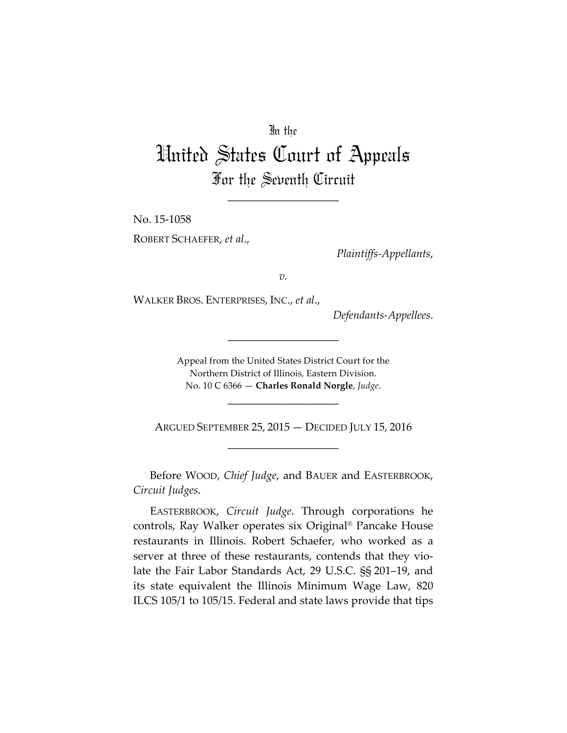## In the

## United States Court of Appeals For the Seventh Circuit

\_\_\_\_\_\_\_\_\_\_\_\_\_\_\_\_\_\_\_\_

No. 15-1058 ROBERT SCHAEFER, *et al*.,

*Plaintiffs-Appellants*,

*v.*

WALKER BROS. ENTERPRISES, INC., *et al*.,

*Defendants-Appellees*.

Appeal from the United States District Court for the Northern District of Illinois, Eastern Division. No. 10 C 6366 — **Charles Ronald Norgle**, *Judge*.

\_\_\_\_\_\_\_\_\_\_\_\_\_\_\_\_\_\_\_\_

\_\_\_\_\_\_\_\_\_\_\_\_\_\_\_\_\_\_\_\_

ARGUED SEPTEMBER 25, 2015 — DECIDED JULY 15, 2016 \_\_\_\_\_\_\_\_\_\_\_\_\_\_\_\_\_\_\_\_

Before WOOD, *Chief Judge*, and BAUER and EASTERBROOK, *Circuit Judges*.

EASTERBROOK, *Circuit Judge*. Through corporations he controls, Ray Walker operates six Original® Pancake House restaurants in Illinois. Robert Schaefer, who worked as a server at three of these restaurants, contends that they violate the Fair Labor Standards Act, 29 U.S.C. §§ 201–19, and its state equivalent the Illinois Minimum Wage Law, 820 ILCS 105/1 to 105/15. Federal and state laws provide that tips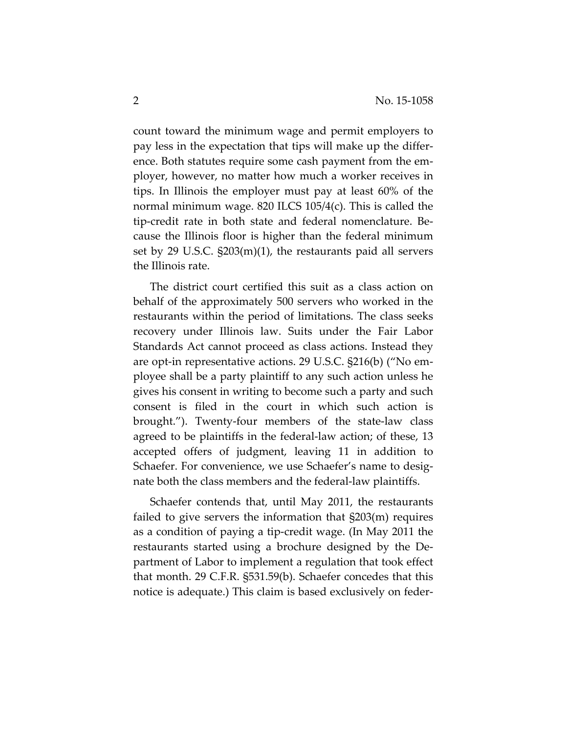count toward the minimum wage and permit employers to pay less in the expectation that tips will make up the difference. Both statutes require some cash payment from the employer, however, no matter how much a worker receives in tips. In Illinois the employer must pay at least 60% of the normal minimum wage. 820 ILCS 105/4(c). This is called the tip-credit rate in both state and federal nomenclature. Because the Illinois floor is higher than the federal minimum set by 29 U.S.C. §203(m)(1), the restaurants paid all servers the Illinois rate.

The district court certified this suit as a class action on behalf of the approximately 500 servers who worked in the restaurants within the period of limitations. The class seeks recovery under Illinois law. Suits under the Fair Labor Standards Act cannot proceed as class actions. Instead they are opt-in representative actions. 29 U.S.C. §216(b) ("No employee shall be a party plaintiff to any such action unless he gives his consent in writing to become such a party and such consent is filed in the court in which such action is brought."). Twenty-four members of the state-law class agreed to be plaintiffs in the federal-law action; of these, 13 accepted offers of judgment, leaving 11 in addition to Schaefer. For convenience, we use Schaefer's name to designate both the class members and the federal-law plaintiffs.

Schaefer contends that, until May 2011, the restaurants failed to give servers the information that §203(m) requires as a condition of paying a tip-credit wage. (In May 2011 the restaurants started using a brochure designed by the Department of Labor to implement a regulation that took effect that month. 29 C.F.R. §531.59(b). Schaefer concedes that this notice is adequate.) This claim is based exclusively on feder-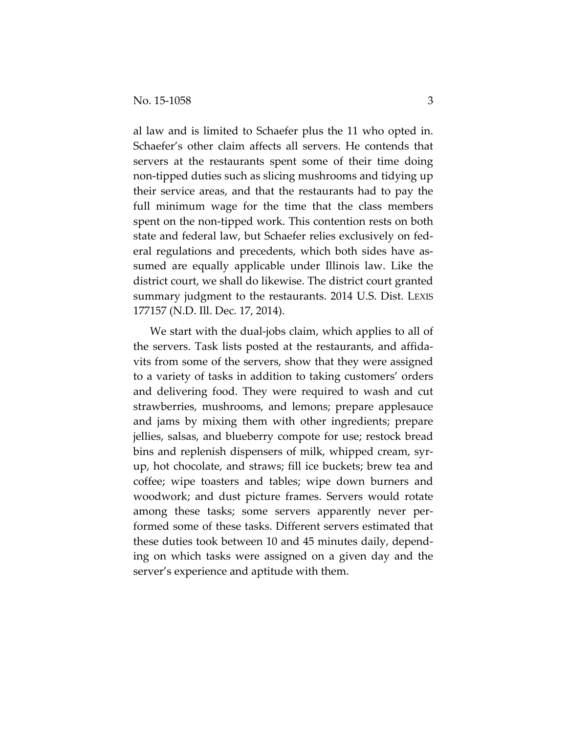al law and is limited to Schaefer plus the 11 who opted in. Schaefer's other claim affects all servers. He contends that servers at the restaurants spent some of their time doing non-tipped duties such as slicing mushrooms and tidying up their service areas, and that the restaurants had to pay the full minimum wage for the time that the class members spent on the non-tipped work. This contention rests on both state and federal law, but Schaefer relies exclusively on federal regulations and precedents, which both sides have assumed are equally applicable under Illinois law. Like the district court, we shall do likewise. The district court granted summary judgment to the restaurants. 2014 U.S. Dist. LEXIS 177157 (N.D. Ill. Dec. 17, 2014).

We start with the dual-jobs claim, which applies to all of the servers. Task lists posted at the restaurants, and affidavits from some of the servers, show that they were assigned to a variety of tasks in addition to taking customers' orders and delivering food. They were required to wash and cut strawberries, mushrooms, and lemons; prepare applesauce and jams by mixing them with other ingredients; prepare jellies, salsas, and blueberry compote for use; restock bread bins and replenish dispensers of milk, whipped cream, syrup, hot chocolate, and straws; fill ice buckets; brew tea and coffee; wipe toasters and tables; wipe down burners and woodwork; and dust picture frames. Servers would rotate among these tasks; some servers apparently never performed some of these tasks. Different servers estimated that these duties took between 10 and 45 minutes daily, depending on which tasks were assigned on a given day and the server's experience and aptitude with them.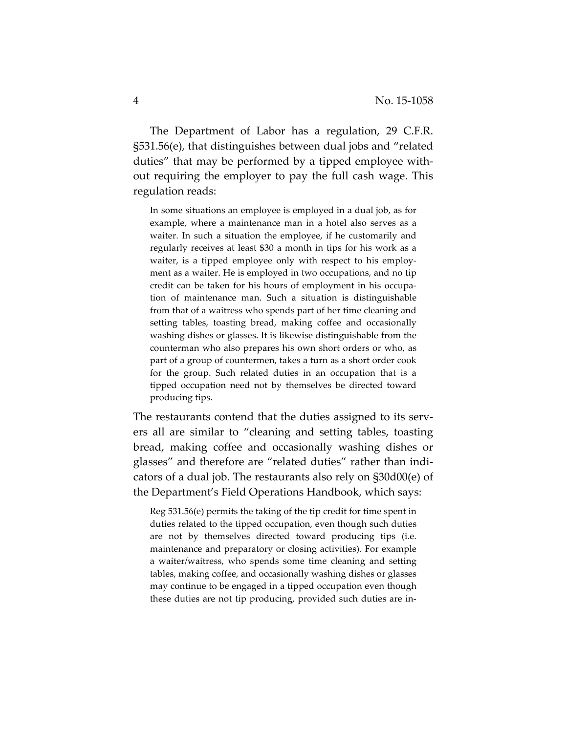The Department of Labor has a regulation, 29 C.F.R. §531.56(e), that distinguishes between dual jobs and "related duties" that may be performed by a tipped employee without requiring the employer to pay the full cash wage. This regulation reads:

In some situations an employee is employed in a dual job, as for example, where a maintenance man in a hotel also serves as a waiter. In such a situation the employee, if he customarily and regularly receives at least \$30 a month in tips for his work as a waiter, is a tipped employee only with respect to his employment as a waiter. He is employed in two occupations, and no tip credit can be taken for his hours of employment in his occupation of maintenance man. Such a situation is distinguishable from that of a waitress who spends part of her time cleaning and setting tables, toasting bread, making coffee and occasionally washing dishes or glasses. It is likewise distinguishable from the counterman who also prepares his own short orders or who, as part of a group of countermen, takes a turn as a short order cook for the group. Such related duties in an occupation that is a tipped occupation need not by themselves be directed toward producing tips.

The restaurants contend that the duties assigned to its servers all are similar to "cleaning and setting tables, toasting bread, making coffee and occasionally washing dishes or glasses" and therefore are "related duties" rather than indicators of a dual job. The restaurants also rely on §30d00(e) of the Department's Field Operations Handbook, which says:

Reg 531.56(e) permits the taking of the tip credit for time spent in duties related to the tipped occupation, even though such duties are not by themselves directed toward producing tips (i.e. maintenance and preparatory or closing activities). For example a waiter/waitress, who spends some time cleaning and setting tables, making coffee, and occasionally washing dishes or glasses may continue to be engaged in a tipped occupation even though these duties are not tip producing, provided such duties are in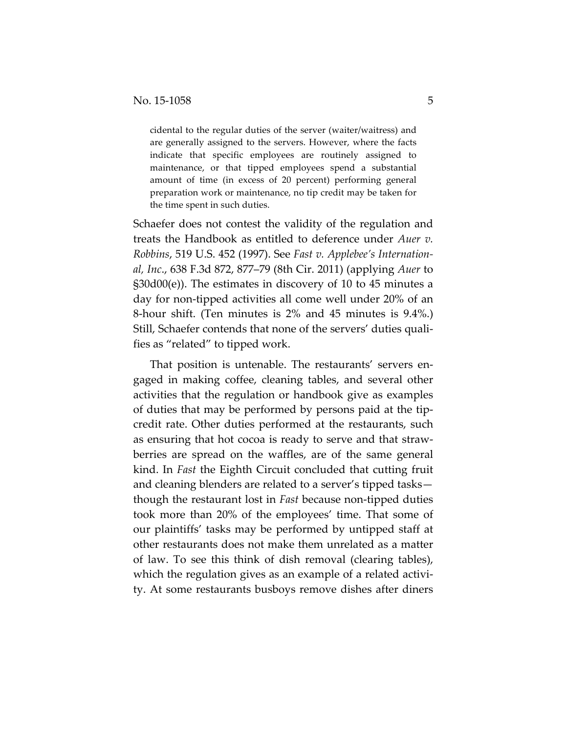cidental to the regular duties of the server (waiter/waitress) and are generally assigned to the servers. However, where the facts indicate that specific employees are routinely assigned to maintenance, or that tipped employees spend a substantial amount of time (in excess of 20 percent) performing general preparation work or maintenance, no tip credit may be taken for the time spent in such duties.

Schaefer does not contest the validity of the regulation and treats the Handbook as entitled to deference under *Auer v. Robbins*, 519 U.S. 452 (1997). See *Fast v. Applebee's International, Inc*., 638 F.3d 872, 877–79 (8th Cir. 2011) (applying *Auer* to §30d00(e)). The estimates in discovery of 10 to 45 minutes a day for non-tipped activities all come well under 20% of an 8-hour shift. (Ten minutes is 2% and 45 minutes is 9.4%.) Still, Schaefer contends that none of the servers' duties qualifies as "related" to tipped work.

That position is untenable. The restaurants' servers engaged in making coffee, cleaning tables, and several other activities that the regulation or handbook give as examples of duties that may be performed by persons paid at the tipcredit rate. Other duties performed at the restaurants, such as ensuring that hot cocoa is ready to serve and that strawberries are spread on the waffles, are of the same general kind. In *Fast* the Eighth Circuit concluded that cutting fruit and cleaning blenders are related to a server's tipped tasks though the restaurant lost in *Fast* because non-tipped duties took more than 20% of the employees' time. That some of our plaintiffs' tasks may be performed by untipped staff at other restaurants does not make them unrelated as a matter of law. To see this think of dish removal (clearing tables), which the regulation gives as an example of a related activity. At some restaurants busboys remove dishes after diners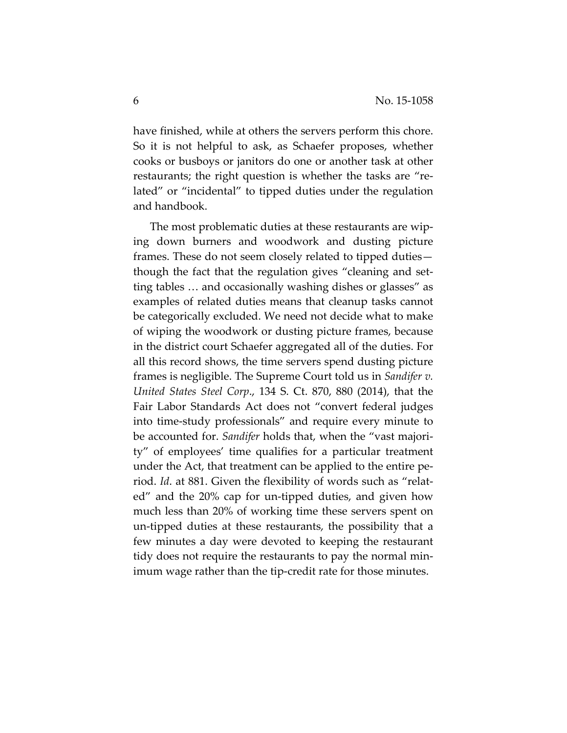have finished, while at others the servers perform this chore. So it is not helpful to ask, as Schaefer proposes, whether cooks or busboys or janitors do one or another task at other restaurants; the right question is whether the tasks are "related" or "incidental" to tipped duties under the regulation and handbook.

The most problematic duties at these restaurants are wiping down burners and woodwork and dusting picture frames. These do not seem closely related to tipped duties though the fact that the regulation gives "cleaning and setting tables … and occasionally washing dishes or glasses" as examples of related duties means that cleanup tasks cannot be categorically excluded. We need not decide what to make of wiping the woodwork or dusting picture frames, because in the district court Schaefer aggregated all of the duties. For all this record shows, the time servers spend dusting picture frames is negligible. The Supreme Court told us in *Sandifer v. United States Steel Corp*., 134 S. Ct. 870, 880 (2014), that the Fair Labor Standards Act does not "convert federal judges into time-study professionals" and require every minute to be accounted for. *Sandifer* holds that, when the "vast majority" of employees' time qualifies for a particular treatment under the Act, that treatment can be applied to the entire period. *Id*. at 881. Given the flexibility of words such as "related" and the 20% cap for un-tipped duties, and given how much less than 20% of working time these servers spent on un-tipped duties at these restaurants, the possibility that a few minutes a day were devoted to keeping the restaurant tidy does not require the restaurants to pay the normal minimum wage rather than the tip-credit rate for those minutes.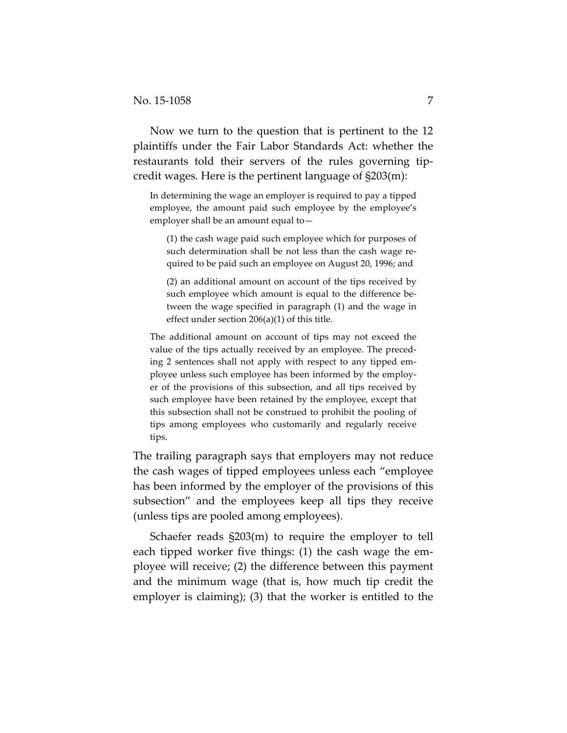Now we turn to the question that is pertinent to the 12 plaintiffs under the Fair Labor Standards Act: whether the restaurants told their servers of the rules governing tipcredit wages. Here is the pertinent language of §203(m):

In determining the wage an employer is required to pay a tipped employee, the amount paid such employee by the employee's employer shall be an amount equal to—

(1) the cash wage paid such employee which for purposes of such determination shall be not less than the cash wage required to be paid such an employee on August 20, 1996; and

(2) an additional amount on account of the tips received by such employee which amount is equal to the difference between the wage specified in paragraph (1) and the wage in effect under section 206(a)(1) of this title.

The additional amount on account of tips may not exceed the value of the tips actually received by an employee. The preceding 2 sentences shall not apply with respect to any tipped employee unless such employee has been informed by the employer of the provisions of this subsection, and all tips received by such employee have been retained by the employee, except that this subsection shall not be construed to prohibit the pooling of tips among employees who customarily and regularly receive tips.

The trailing paragraph says that employers may not reduce the cash wages of tipped employees unless each "employee has been informed by the employer of the provisions of this subsection" and the employees keep all tips they receive (unless tips are pooled among employees).

Schaefer reads §203(m) to require the employer to tell each tipped worker five things: (1) the cash wage the employee will receive; (2) the difference between this payment and the minimum wage (that is, how much tip credit the employer is claiming); (3) that the worker is entitled to the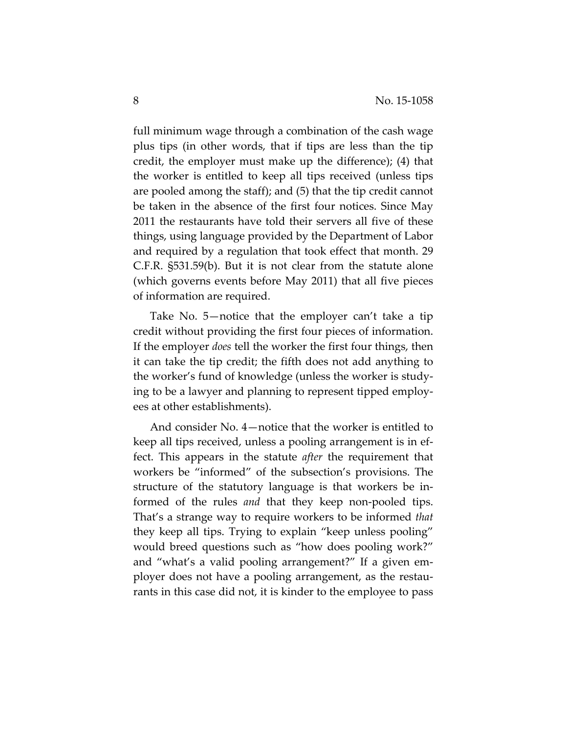full minimum wage through a combination of the cash wage plus tips (in other words, that if tips are less than the tip credit, the employer must make up the difference); (4) that the worker is entitled to keep all tips received (unless tips are pooled among the staff); and (5) that the tip credit cannot be taken in the absence of the first four notices. Since May 2011 the restaurants have told their servers all five of these things, using language provided by the Department of Labor and required by a regulation that took effect that month. 29 C.F.R. §531.59(b). But it is not clear from the statute alone (which governs events before May 2011) that all five pieces of information are required.

Take No. 5—notice that the employer can't take a tip credit without providing the first four pieces of information. If the employer *does* tell the worker the first four things, then it can take the tip credit; the fifth does not add anything to the worker's fund of knowledge (unless the worker is studying to be a lawyer and planning to represent tipped employees at other establishments).

And consider No. 4—notice that the worker is entitled to keep all tips received, unless a pooling arrangement is in effect. This appears in the statute *after* the requirement that workers be "informed" of the subsection's provisions. The structure of the statutory language is that workers be informed of the rules *and* that they keep non-pooled tips. That's a strange way to require workers to be informed *that* they keep all tips. Trying to explain "keep unless pooling" would breed questions such as "how does pooling work?" and "what's a valid pooling arrangement?" If a given employer does not have a pooling arrangement, as the restaurants in this case did not, it is kinder to the employee to pass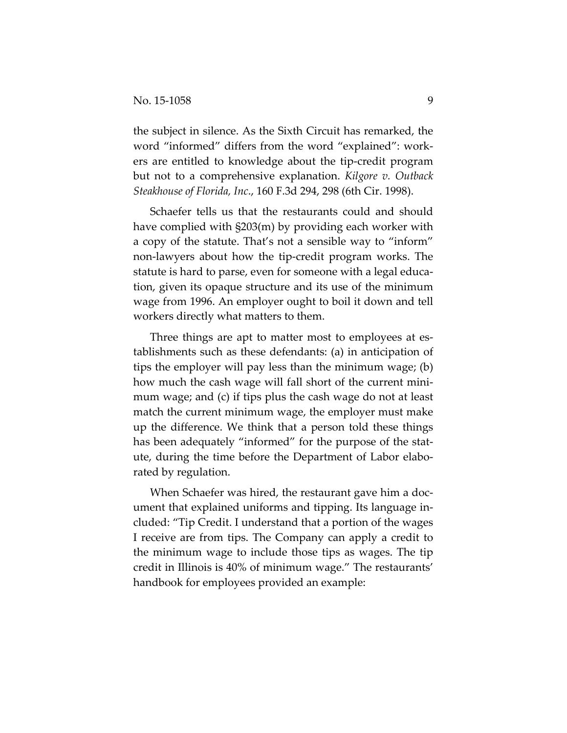the subject in silence. As the Sixth Circuit has remarked, the word "informed" differs from the word "explained": workers are entitled to knowledge about the tip-credit program but not to a comprehensive explanation. *Kilgore v. Outback Steakhouse of Florida, Inc*., 160 F.3d 294, 298 (6th Cir. 1998).

Schaefer tells us that the restaurants could and should have complied with §203(m) by providing each worker with a copy of the statute. That's not a sensible way to "inform" non-lawyers about how the tip-credit program works. The statute is hard to parse, even for someone with a legal education, given its opaque structure and its use of the minimum wage from 1996. An employer ought to boil it down and tell workers directly what matters to them.

Three things are apt to matter most to employees at establishments such as these defendants: (a) in anticipation of tips the employer will pay less than the minimum wage; (b) how much the cash wage will fall short of the current minimum wage; and (c) if tips plus the cash wage do not at least match the current minimum wage, the employer must make up the difference. We think that a person told these things has been adequately "informed" for the purpose of the statute, during the time before the Department of Labor elaborated by regulation.

When Schaefer was hired, the restaurant gave him a document that explained uniforms and tipping. Its language included: "Tip Credit. I understand that a portion of the wages I receive are from tips. The Company can apply a credit to the minimum wage to include those tips as wages. The tip credit in Illinois is 40% of minimum wage." The restaurants' handbook for employees provided an example: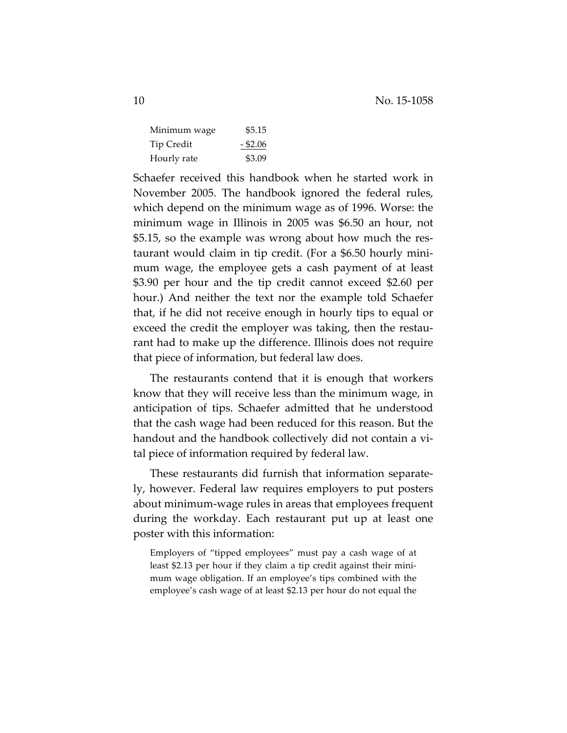| Minimum wage      | \$5.15     |
|-------------------|------------|
| <b>Tip Credit</b> | $-$ \$2.06 |
| Hourly rate       | \$3.09     |

Schaefer received this handbook when he started work in November 2005. The handbook ignored the federal rules, which depend on the minimum wage as of 1996. Worse: the minimum wage in Illinois in 2005 was \$6.50 an hour, not \$5.15, so the example was wrong about how much the restaurant would claim in tip credit. (For a \$6.50 hourly minimum wage, the employee gets a cash payment of at least \$3.90 per hour and the tip credit cannot exceed \$2.60 per hour.) And neither the text nor the example told Schaefer that, if he did not receive enough in hourly tips to equal or exceed the credit the employer was taking, then the restaurant had to make up the difference. Illinois does not require that piece of information, but federal law does.

The restaurants contend that it is enough that workers know that they will receive less than the minimum wage, in anticipation of tips. Schaefer admitted that he understood that the cash wage had been reduced for this reason. But the handout and the handbook collectively did not contain a vital piece of information required by federal law.

These restaurants did furnish that information separately, however. Federal law requires employers to put posters about minimum-wage rules in areas that employees frequent during the workday. Each restaurant put up at least one poster with this information:

Employers of "tipped employees" must pay a cash wage of at least \$2.13 per hour if they claim a tip credit against their minimum wage obligation. If an employee's tips combined with the employee's cash wage of at least \$2.13 per hour do not equal the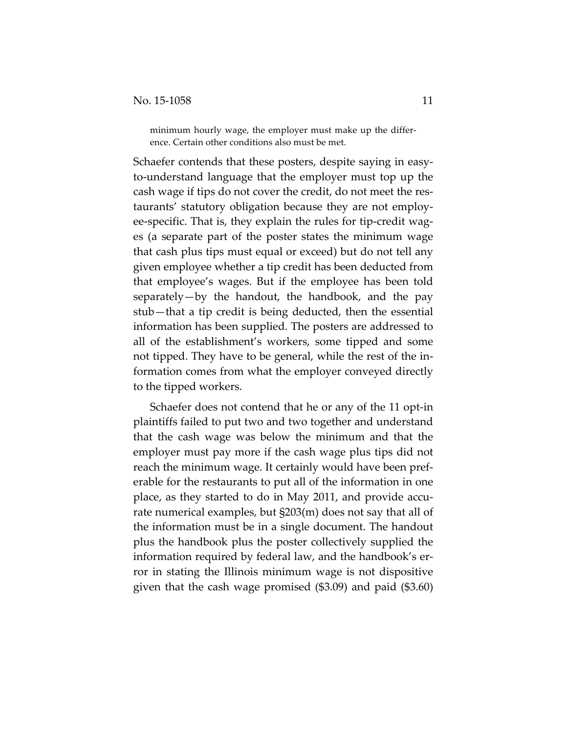minimum hourly wage, the employer must make up the difference. Certain other conditions also must be met.

Schaefer contends that these posters, despite saying in easyto-understand language that the employer must top up the cash wage if tips do not cover the credit, do not meet the restaurants' statutory obligation because they are not employee-specific. That is, they explain the rules for tip-credit wages (a separate part of the poster states the minimum wage that cash plus tips must equal or exceed) but do not tell any given employee whether a tip credit has been deducted from that employee's wages. But if the employee has been told separately—by the handout, the handbook, and the pay stub—that a tip credit is being deducted, then the essential information has been supplied. The posters are addressed to all of the establishment's workers, some tipped and some not tipped. They have to be general, while the rest of the information comes from what the employer conveyed directly to the tipped workers.

Schaefer does not contend that he or any of the 11 opt-in plaintiffs failed to put two and two together and understand that the cash wage was below the minimum and that the employer must pay more if the cash wage plus tips did not reach the minimum wage. It certainly would have been preferable for the restaurants to put all of the information in one place, as they started to do in May 2011, and provide accurate numerical examples, but §203(m) does not say that all of the information must be in a single document. The handout plus the handbook plus the poster collectively supplied the information required by federal law, and the handbook's error in stating the Illinois minimum wage is not dispositive given that the cash wage promised (\$3.09) and paid (\$3.60)